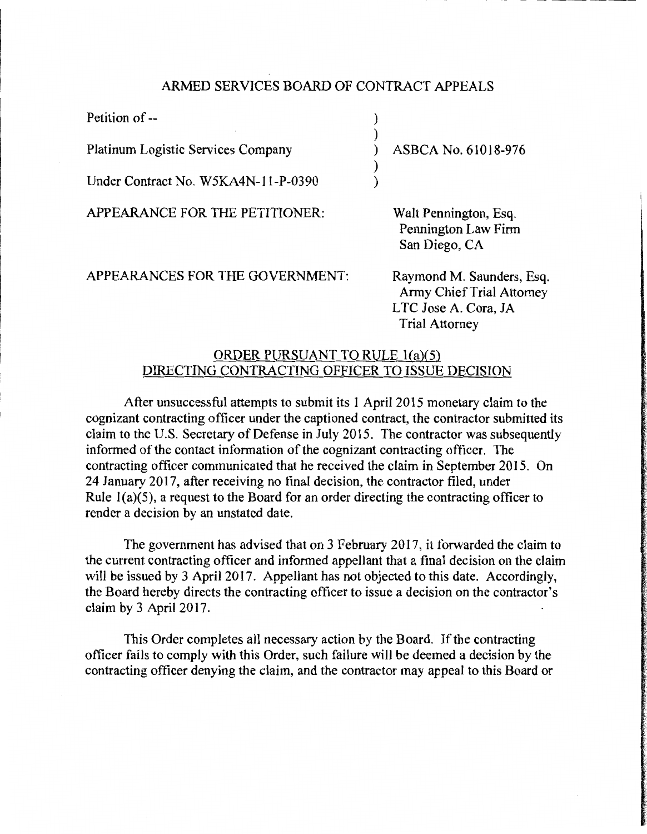## ARMED SERVICES BOARD OF CONTRACT APPEALS

| Petition of --                            |                       |
|-------------------------------------------|-----------------------|
| <b>Platinum Logistic Services Company</b> | ASBCA No. 61018-976   |
| Under Contract No. W5KA4N-11-P-0390       |                       |
| APPEARANCE FOR THE PETITIONER:            | Walt Pennington, Esq. |

APPEARANCES FOR THE GOVERNMENT:

Walt Pennington, Esq. Pennington Law Firm San Diego, CA

Raymond M. Saunders, Esq. Army Chief Trial Attorney LTC Jose A. Cora, JA Trial Attorney

## ORDER PURSUANT TO RULE l(a)(S) DIRECTING CONTRACTING OFFICER TO ISSUE DECISION

After unsuccessful attempts to submit its 1 April 2015 monetary claim to the cognizant contracting officer under the captioned contract, the contractor submitted its claim to the U.S. Secretary of Defense in July 2015. The contractor was subsequently informed of the contact information of the cognizant contracting officer. The contracting officer communicated that he received the claim in September 2015. On 24 January 2017, after receiving no final decision, the contractor filed, under Rule  $1(a)(5)$ , a request to the Board for an order directing the contracting officer to render a decision by an unstated date.

The government has advised that on 3 February 2017, it forwarded the claim to the current contracting officer and informed appellant that a final decision on the claim will be issued by 3 April 2017. Appellant has not objected to this date. Accordingly, the Board hereby directs the contracting officer to issue a decision on the contractor's claim by 3 April 2017.

This Order completes all necessary action by the Board. If the contracting officer fails to comply with this Order, such failure will be deemed a decision by the contracting officer denying the claim, and the contractor may appeal to this Board or